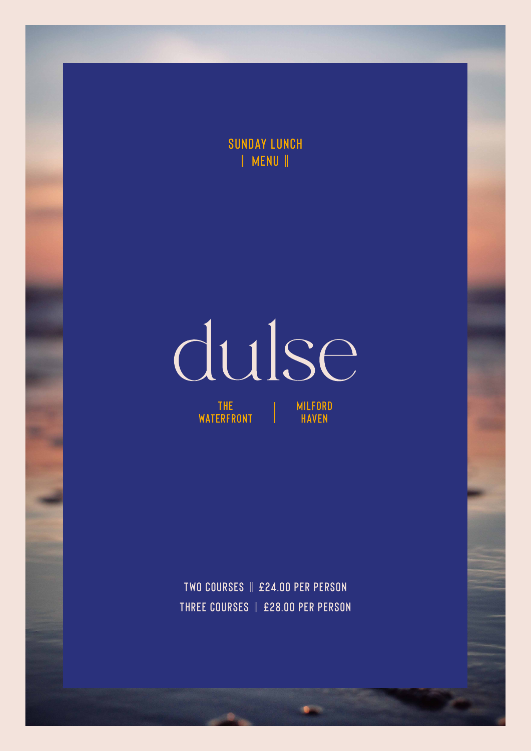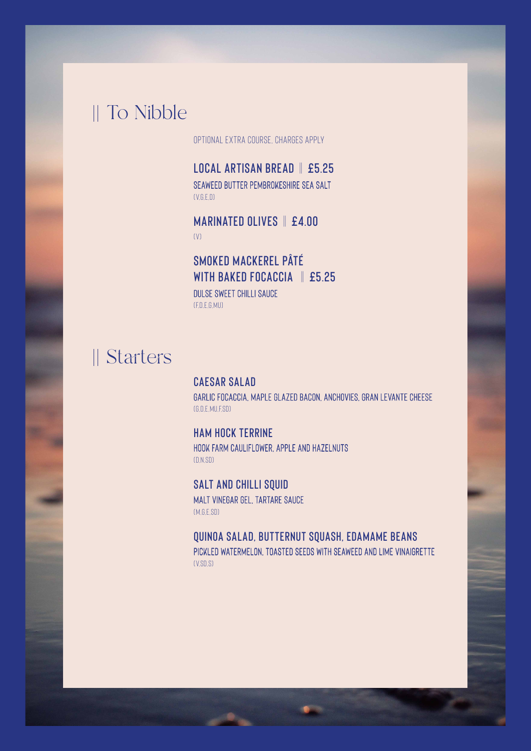## To Nibble

Optional extra course, charges apply

**Local Artisan Bread** || **£5.25** Seaweed butter Pembrokeshire sea salt  $(V.G.F.D)$ 

**Marinated Olives** || **£4.00**  $(V)$ 

**Smoked Mackerel Pâté with Baked Focaccia** || **£5.25** Dulse sweet chilli sauce (F,D,E,G,Mu)

# Starters

**Caesar Salad** Garlic focaccia, maple glazed bacon, anchovies, Gran Levante cheese (G,D,E,Mu,F,SD)

**Ham Hock Terrine**  Hook Farm cauliflower, apple and hazelnuts (D,N,SD)

**Salt and Chilli Squid**  Malt vinegar gel, tartare sauce (M,G,E,SD)

**Quinoa Salad, Butternut Squash, Edamame Beans** Pickled watermelon, toasted seeds with seaweed and lime vinaigrette  $(V,SD,SI)$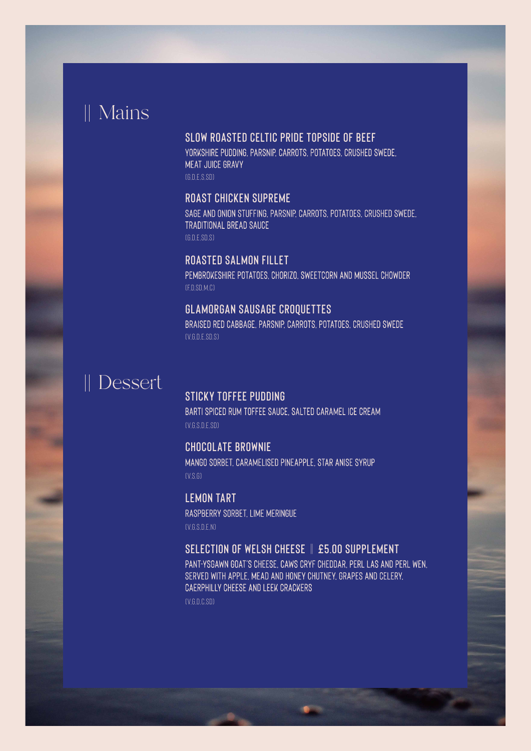## Mains

#### **Slow Roasted Celtic Pride Topside of Beef**

Yorkshire pudding, parsnip, carrots, potatoes, crushed swede, MEAT JUICE GRAVY

(G,D,E,S,SD)

#### **Roast Chicken Supreme**

Sage and onion stuffing, parsnip, carrots, potatoes, crushed swede, traditional bread sauce (G,D,E,SD,S)

### **Roasted Salmon Fillet**

Pembrokeshire potatoes, chorizo, sweetcorn and mussel chowder (F,D,SD,M,C)

### **Glamorgan Sausage Croquettes**

Braised red cabbage, parsnip, carrots, potatoes, crushed swede  $(VG)$ DE SD, SI

# Dessert

#### **Sticky Toffee Pudding**

Barti spiced rum toffee sauce, salted caramel ice cream (V,G,S,D,E,SD)

**Chocolate Brownie** Mango sorbet, caramelised pineapple, star anise syrup

 $(V, S, G)$ 

**Lemon Tart** Raspberry sorbet, lime meringue  $(V$ G $S$ D $F$ N)

#### **Selection of Welsh Cheese** || **£5.00 supplement**

Pant-Ysgawn goat's cheese, Caws Cryf cheddar, Perl Las and Perl Wen, served with apple, mead and honey chutney, grapes and celery, Caerphilly cheese and leek crackers

(V,G,D,C,SD)